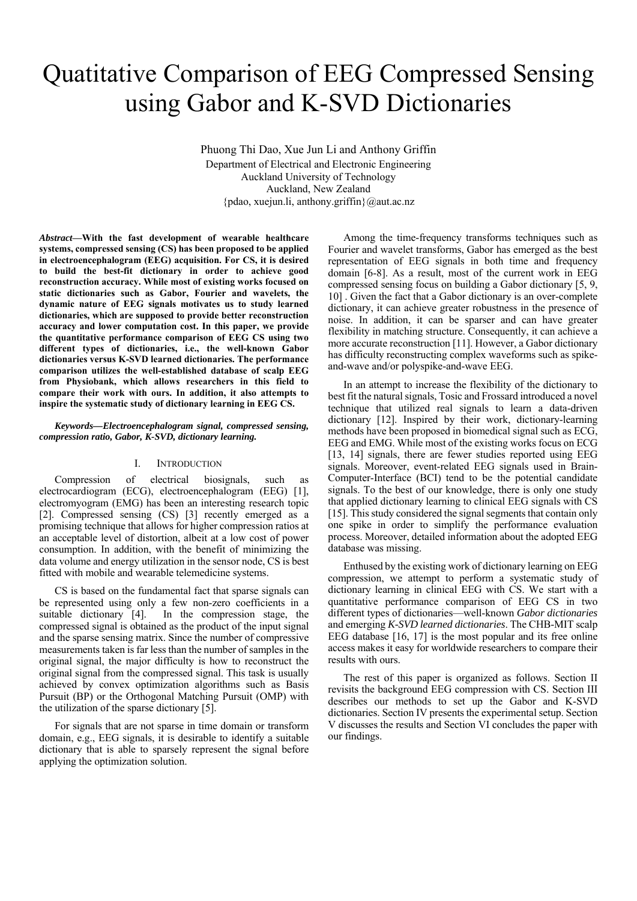# Quatitative Comparison of EEG Compressed Sensing using Gabor and K-SVD Dictionaries

Phuong Thi Dao, Xue Jun Li and Anthony Griffin Department of Electrical and Electronic Engineering Auckland University of Technology Auckland, New Zealand {pdao, xuejun.li, anthony.griffin}@aut.ac.nz

*Abstract***—With the fast development of wearable healthcare systems, compressed sensing (CS) has been proposed to be applied in electroencephalogram (EEG) acquisition. For CS, it is desired to build the best-fit dictionary in order to achieve good reconstruction accuracy. While most of existing works focused on static dictionaries such as Gabor, Fourier and wavelets, the dynamic nature of EEG signals motivates us to study learned dictionaries, which are supposed to provide better reconstruction accuracy and lower computation cost. In this paper, we provide the quantitative performance comparison of EEG CS using two different types of dictionaries, i.e., the well-known Gabor dictionaries versus K-SVD learned dictionaries. The performance comparison utilizes the well-established database of scalp EEG from Physiobank, which allows researchers in this field to compare their work with ours. In addition, it also attempts to inspire the systematic study of dictionary learning in EEG CS.** 

## *Keywords—Electroencephalogram signal, compressed sensing, compression ratio, Gabor, K-SVD, dictionary learning.*

# I. INTRODUCTION

Compression of electrical biosignals, such as electrocardiogram (ECG), electroencephalogram (EEG) [1], electromyogram (EMG) has been an interesting research topic [2]. Compressed sensing (CS) [3] recently emerged as a promising technique that allows for higher compression ratios at an acceptable level of distortion, albeit at a low cost of power consumption. In addition, with the benefit of minimizing the data volume and energy utilization in the sensor node, CS is best fitted with mobile and wearable telemedicine systems.

CS is based on the fundamental fact that sparse signals can be represented using only a few non-zero coefficients in a suitable dictionary [4]. In the compression stage, the compressed signal is obtained as the product of the input signal and the sparse sensing matrix. Since the number of compressive measurements taken is far less than the number of samples in the original signal, the major difficulty is how to reconstruct the original signal from the compressed signal. This task is usually achieved by convex optimization algorithms such as Basis Pursuit (BP) or the Orthogonal Matching Pursuit (OMP) with the utilization of the sparse dictionary [5].

For signals that are not sparse in time domain or transform domain, e.g., EEG signals, it is desirable to identify a suitable dictionary that is able to sparsely represent the signal before applying the optimization solution.

Among the time-frequency transforms techniques such as Fourier and wavelet transforms, Gabor has emerged as the best representation of EEG signals in both time and frequency domain [6-8]. As a result, most of the current work in EEG compressed sensing focus on building a Gabor dictionary [5, 9, 10] . Given the fact that a Gabor dictionary is an over-complete dictionary, it can achieve greater robustness in the presence of noise. In addition, it can be sparser and can have greater flexibility in matching structure. Consequently, it can achieve a more accurate reconstruction [11]. However, a Gabor dictionary has difficulty reconstructing complex waveforms such as spikeand-wave and/or polyspike-and-wave EEG.

In an attempt to increase the flexibility of the dictionary to best fit the natural signals, Tosic and Frossard introduced a novel technique that utilized real signals to learn a data-driven dictionary [12]. Inspired by their work, dictionary-learning methods have been proposed in biomedical signal such as ECG, EEG and EMG. While most of the existing works focus on ECG [13, 14] signals, there are fewer studies reported using EEG signals. Moreover, event-related EEG signals used in Brain-Computer-Interface (BCI) tend to be the potential candidate signals. To the best of our knowledge, there is only one study that applied dictionary learning to clinical EEG signals with CS [15]. This study considered the signal segments that contain only one spike in order to simplify the performance evaluation process. Moreover, detailed information about the adopted EEG database was missing.

Enthused by the existing work of dictionary learning on EEG compression, we attempt to perform a systematic study of dictionary learning in clinical EEG with CS. We start with a quantitative performance comparison of EEG CS in two different types of dictionaries—well-known *Gabor dictionaries* and emerging *K-SVD learned dictionaries*. The CHB-MIT scalp EEG database [16, 17] is the most popular and its free online access makes it easy for worldwide researchers to compare their results with ours.

The rest of this paper is organized as follows. Section II revisits the background EEG compression with CS. Section III describes our methods to set up the Gabor and K-SVD dictionaries. Section IV presents the experimental setup. Section V discusses the results and Section VI concludes the paper with our findings.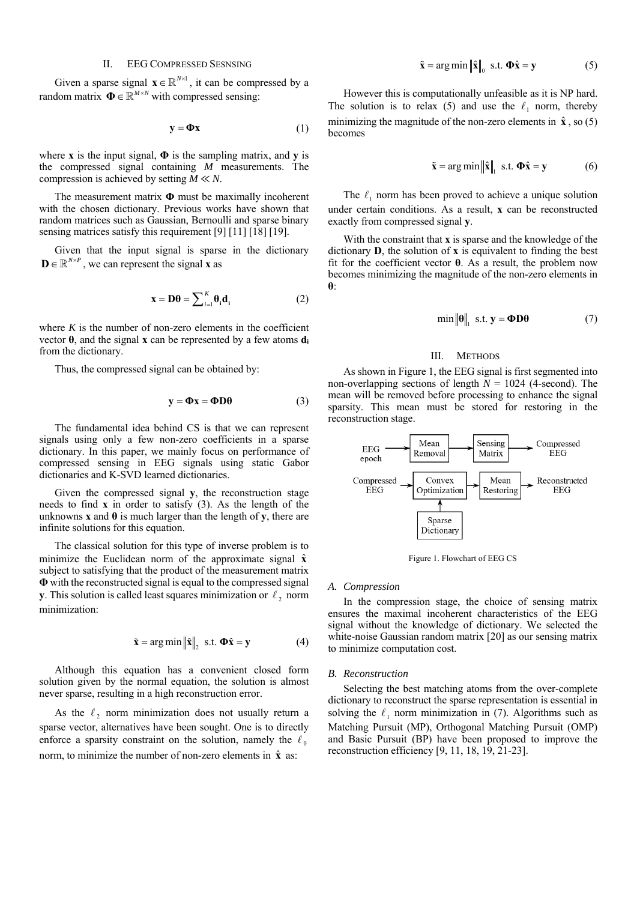# II. EEG COMPRESSED SESNSING

Given a sparse signal  $\mathbf{x} \in \mathbb{R}^{N \times 1}$ , it can be compressed by a random matrix  $\mathbf{\Phi} \in \mathbb{R}^{M \times N}$  with compressed sensing:

$$
y = \Phi x \tag{1}
$$

where **x** is the input signal, **Φ** is the sampling matrix, and **y** is the compressed signal containing *M* measurements. The compression is achieved by setting  $M \ll N$ .

The measurement matrix **Φ** must be maximally incoherent with the chosen dictionary. Previous works have shown that random matrices such as Gaussian, Bernoulli and sparse binary sensing matrices satisfy this requirement [9] [11] [18] [19].

Given that the input signal is sparse in the dictionary  $\mathbf{D} \in \mathbb{R}^{N \times P}$ , we can represent the signal **x** as

$$
\mathbf{x} = \mathbf{D}\boldsymbol{\theta} = \sum_{i=1}^{K} \boldsymbol{\theta}_i \mathbf{d}_i
$$
 (2)

where  $K$  is the number of non-zero elements in the coefficient vector **θ**, and the signal **x** can be represented by a few atoms **di** from the dictionary.

Thus, the compressed signal can be obtained by:

$$
y = \Phi x = \Phi D \theta \tag{3}
$$

The fundamental idea behind CS is that we can represent signals using only a few non-zero coefficients in a sparse dictionary. In this paper, we mainly focus on performance of compressed sensing in EEG signals using static Gabor dictionaries and K-SVD learned dictionaries.

Given the compressed signal **y**, the reconstruction stage needs to find **x** in order to satisfy (3). As the length of the unknowns **x** and  $\theta$  is much larger than the length of **y**, there are infinite solutions for this equation.

The classical solution for this type of inverse problem is to minimize the Euclidean norm of the approximate signal  $\hat{x}$ subject to satisfying that the product of the measurement matrix **Φ** with the reconstructed signal is equal to the compressed signal **y**. This solution is called least squares minimization or  $\ell_2$  norm minimization:

$$
\tilde{\mathbf{x}} = \arg\min \left\| \hat{\mathbf{x}} \right\|_2 \text{ s.t. } \Phi \hat{\mathbf{x}} = \mathbf{y}
$$
 (4)

Although this equation has a convenient closed form solution given by the normal equation, the solution is almost never sparse, resulting in a high reconstruction error.

As the  $\ell_2$  norm minimization does not usually return a sparse vector, alternatives have been sought. One is to directly enforce a sparsity constraint on the solution, namely the  $\ell_0$ norm, to minimize the number of non-zero elements in  $\hat{x}$  as:

$$
\tilde{\mathbf{x}} = \arg\min \left\| \hat{\mathbf{x}} \right\|_0 \text{ s.t. } \mathbf{\Phi} \hat{\mathbf{x}} = \mathbf{y} \tag{5}
$$

However this is computationally unfeasible as it is NP hard. The solution is to relax (5) and use the  $\ell_1$  norm, thereby minimizing the magnitude of the non-zero elements in  $\hat{x}$ , so (5) becomes

$$
\tilde{\mathbf{x}} = \arg\min \left\| \hat{\mathbf{x}} \right\|_1 \text{ s.t. } \Phi \hat{\mathbf{x}} = \mathbf{y} \tag{6}
$$

The  $\ell_1$  norm has been proved to achieve a unique solution under certain conditions. As a result, **x** can be reconstructed exactly from compressed signal **y**.

With the constraint that **x** is sparse and the knowledge of the dictionary **D**, the solution of **x** is equivalent to finding the best fit for the coefficient vector **θ**. As a result, the problem now becomes minimizing the magnitude of the non-zero elements in **θ**:

$$
\min \|\boldsymbol{\theta}\|_{1} \text{ s.t. } \mathbf{y} = \mathbf{\Phi} \mathbf{D} \mathbf{\theta} \tag{7}
$$

# III. METHODS

As shown in Figure 1, the EEG signal is first segmented into non-overlapping sections of length  $N = 1024$  (4-second). The mean will be removed before processing to enhance the signal sparsity. This mean must be stored for restoring in the reconstruction stage.



Figure 1. Flowchart of EEG CS

#### *A. Compression*

In the compression stage, the choice of sensing matrix ensures the maximal incoherent characteristics of the EEG signal without the knowledge of dictionary. We selected the white-noise Gaussian random matrix [20] as our sensing matrix to minimize computation cost.

#### *B. Reconstruction*

Selecting the best matching atoms from the over-complete dictionary to reconstruct the sparse representation is essential in solving the  $\ell_1$  norm minimization in (7). Algorithms such as Matching Pursuit (MP), Orthogonal Matching Pursuit (OMP) and Basic Pursuit (BP) have been proposed to improve the reconstruction efficiency [9, 11, 18, 19, 21-23].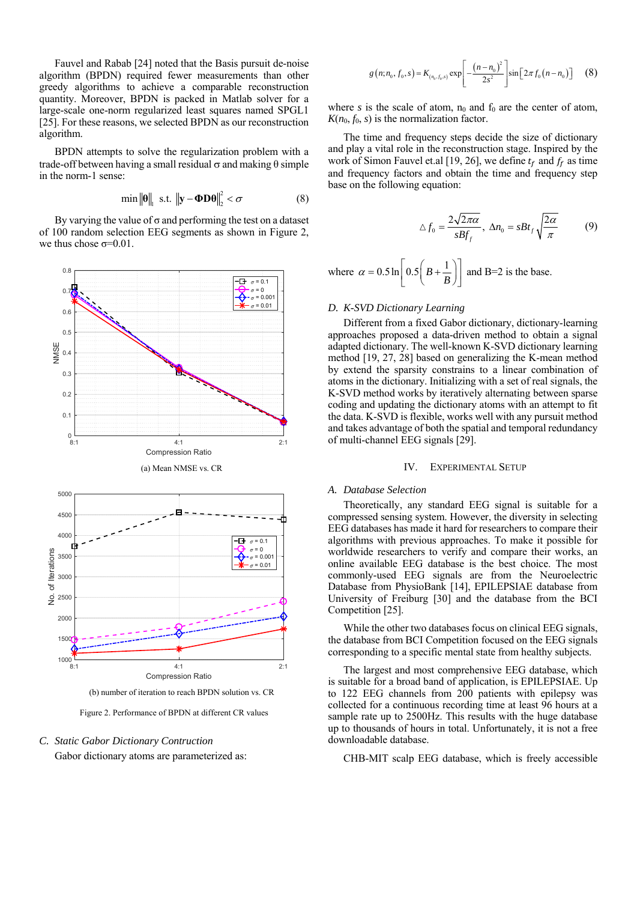Fauvel and Rabab [24] noted that the Basis pursuit de-noise algorithm (BPDN) required fewer measurements than other greedy algorithms to achieve a comparable reconstruction quantity. Moreover, BPDN is packed in Matlab solver for a large-scale one-norm regularized least squares named SPGL1 [25]. For these reasons, we selected BPDN as our reconstruction algorithm.

BPDN attempts to solve the regularization problem with a trade-off between having a small residual  $\sigma$  and making  $\theta$  simple in the norm-1 sense:

$$
\min \|\boldsymbol{\theta}\|_{1} \text{ s.t. } \|\mathbf{y} - \boldsymbol{\Phi} \mathbf{D} \boldsymbol{\theta}\|_{2}^{2} < \sigma
$$
 (8)

By varying the value of  $\sigma$  and performing the test on a dataset of 100 random selection EEG segments as shown in Figure 2, we thus chose  $\sigma = 0.01$ .





Figure 2. Performance of BPDN at different CR values

# *C. Static Gabor Dictionary Contruction*

Gabor dictionary atoms are parameterized as:

$$
g(n; n_0, f_0, s) = K_{(n_0, f_0, s)} \exp \left[ -\frac{(n - n_0)^2}{2s^2} \right] \sin \left[ 2\pi f_0(n - n_0) \right] \tag{8}
$$

where *s* is the scale of atom,  $n_0$  and  $f_0$  are the center of atom,  $K(n_0, f_0, s)$  is the normalization factor.

The time and frequency steps decide the size of dictionary and play a vital role in the reconstruction stage. Inspired by the work of Simon Fauvel et.al [19, 26], we define  $t_f$  and  $f_f$  as time and frequency factors and obtain the time and frequency step base on the following equation:

$$
\Delta f_0 = \frac{2\sqrt{2\pi\alpha}}{sBf_f}, \ \Delta n_0 = sBt_f\sqrt{\frac{2\alpha}{\pi}} \tag{9}
$$

where  $\alpha = 0.5 \ln \left| 0.5 \left( B + \frac{1}{B} \right) \right|$  $= 0.5 \ln \left[ 0.5 \left( B + \frac{1}{B} \right) \right]$  and B=2 is the base.

#### *D. K-SVD Dictionary Learning*

Different from a fixed Gabor dictionary, dictionary-learning approaches proposed a data-driven method to obtain a signal adapted dictionary. The well-known K-SVD dictionary learning method [19, 27, 28] based on generalizing the K-mean method by extend the sparsity constrains to a linear combination of atoms in the dictionary. Initializing with a set of real signals, the K-SVD method works by iteratively alternating between sparse coding and updating the dictionary atoms with an attempt to fit the data. K-SVD is flexible, works well with any pursuit method and takes advantage of both the spatial and temporal redundancy of multi-channel EEG signals [29].

### IV. EXPERIMENTAL SETUP

## *A. Database Selection*

Theoretically, any standard EEG signal is suitable for a compressed sensing system. However, the diversity in selecting EEG databases has made it hard for researchers to compare their algorithms with previous approaches. To make it possible for worldwide researchers to verify and compare their works, an online available EEG database is the best choice. The most commonly-used EEG signals are from the Neuroelectric Database from PhysioBank [14], EPILEPSIAE database from University of Freiburg [30] and the database from the BCI Competition [25].

While the other two databases focus on clinical EEG signals, the database from BCI Competition focused on the EEG signals corresponding to a specific mental state from healthy subjects.

The largest and most comprehensive EEG database, which is suitable for a broad band of application, is EPILEPSIAE. Up to 122 EEG channels from 200 patients with epilepsy was collected for a continuous recording time at least 96 hours at a sample rate up to 2500Hz. This results with the huge database up to thousands of hours in total. Unfortunately, it is not a free downloadable database.

CHB-MIT scalp EEG database, which is freely accessible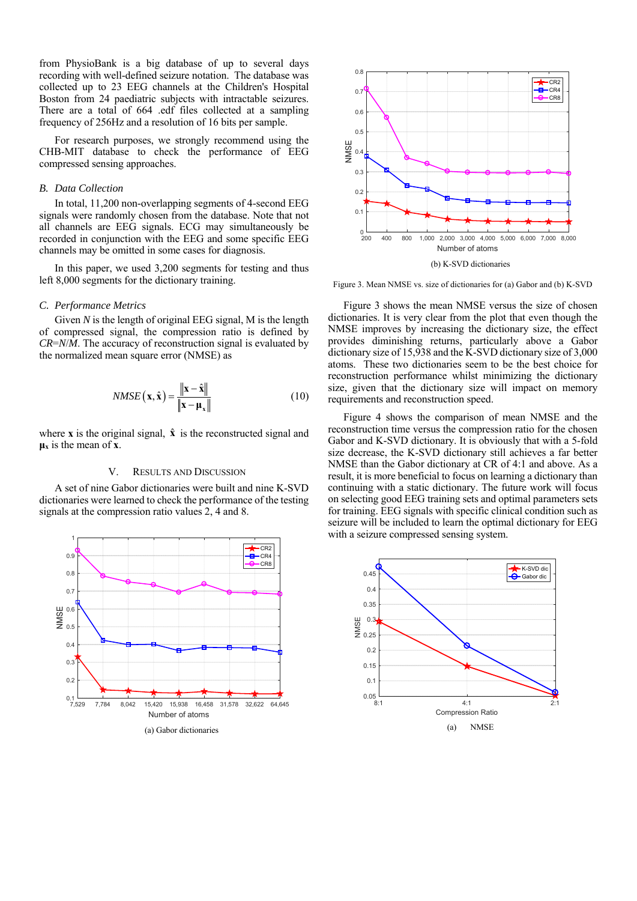from PhysioBank is a big database of up to several days recording with well-defined seizure notation. The database was collected up to 23 EEG channels at the Children's Hospital Boston from 24 paediatric subjects with intractable seizures. There are a total of 664 .edf files collected at a sampling frequency of 256Hz and a resolution of 16 bits per sample.

For research purposes, we strongly recommend using the CHB-MIT database to check the performance of EEG compressed sensing approaches.

# *B. Data Collection*

In total, 11,200 non-overlapping segments of 4-second EEG signals were randomly chosen from the database. Note that not all channels are EEG signals. ECG may simultaneously be recorded in conjunction with the EEG and some specific EEG channels may be omitted in some cases for diagnosis.

In this paper, we used 3,200 segments for testing and thus left 8,000 segments for the dictionary training.

#### *C. Performance Metrics*

Given *N* is the length of original EEG signal, M is the length of compressed signal, the compression ratio is defined by *CR*=*N*/*M*. The accuracy of reconstruction signal is evaluated by the normalized mean square error (NMSE) as

$$
NMSE\left(\mathbf{x}, \hat{\mathbf{x}}\right) = \frac{\|\mathbf{x} - \hat{\mathbf{x}}\|}{\|\mathbf{x} - \mathbf{\mu}_{\mathbf{x}}\|}
$$
(10)

where **x** is the original signal,  $\hat{\mathbf{x}}$  is the reconstructed signal and **μx** is the mean of **x**.

#### V. RESULTS AND DISCUSSION

A set of nine Gabor dictionaries were built and nine K-SVD dictionaries were learned to check the performance of the testing signals at the compression ratio values 2, 4 and 8.





Figure 3. Mean NMSE vs. size of dictionaries for (a) Gabor and (b) K-SVD

Figure 3 shows the mean NMSE versus the size of chosen dictionaries. It is very clear from the plot that even though the NMSE improves by increasing the dictionary size, the effect provides diminishing returns, particularly above a Gabor dictionary size of 15,938 and the K-SVD dictionary size of 3,000 atoms. These two dictionaries seem to be the best choice for reconstruction performance whilst minimizing the dictionary size, given that the dictionary size will impact on memory requirements and reconstruction speed.

Figure 4 shows the comparison of mean NMSE and the reconstruction time versus the compression ratio for the chosen Gabor and K-SVD dictionary. It is obviously that with a 5-fold size decrease, the K-SVD dictionary still achieves a far better NMSE than the Gabor dictionary at CR of 4:1 and above. As a result, it is more beneficial to focus on learning a dictionary than continuing with a static dictionary. The future work will focus on selecting good EEG training sets and optimal parameters sets for training. EEG signals with specific clinical condition such as seizure will be included to learn the optimal dictionary for EEG with a seizure compressed sensing system.